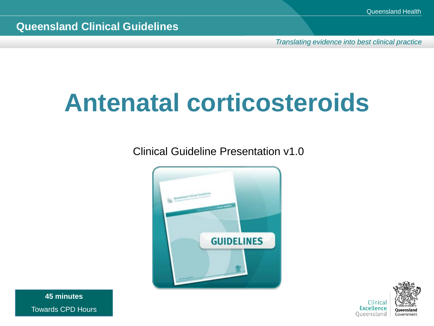*Translating evidence into best clinical practice*

# **Antenatal corticosteroids**

Clinical Guideline Presentation v1.0





**45 minutes** Towards CPD Hours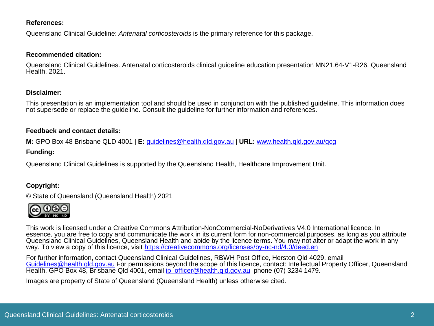#### **References:**

Queensland Clinical Guideline: *Antenatal corticosteroids* is the primary reference for this package.

#### **Recommended citation:**

Queensland Clinical Guidelines. Antenatal corticosteroids clinical guideline education presentation MN21.64-V1-R26. Queensland Health. 2021.

#### **Disclaimer:**

This presentation is an implementation tool and should be used in conjunction with the published guideline. This information does not supersede or replace the guideline. Consult the guideline for further information and references.

#### **Feedback and contact details:**

**M:** GPO Box 48 Brisbane QLD 4001 | **E:** [guidelines@health.qld.gov.au](mailto:guidelines@health.qld.gov.au) | **URL:** [www.health.qld.gov.au/qcg](http://www.health.qld.gov.au/qcg)

#### **Funding:**

Queensland Clinical Guidelines is supported by the Queensland Health, Healthcare Improvement Unit.

#### **Copyright:**

© State of Queensland (Queensland Health) 2021



This work is licensed under a Creative Commons Attribution-NonCommercial-NoDerivatives V4.0 International licence. In essence, you are free to copy and communicate the work in its current form for non-commercial purposes, as long as you attribute Queensland Clinical Guidelines, Queensland Health and abide by the licence terms. You may not alter or adapt the work in any way. To view a copy of this licence, visit <https://creativecommons.org/licenses/by-nc-nd/4.0/deed.en>

For further information, contact Queensland Clinical Guidelines, RBWH Post Office, Herston Qld 4029, email [Guidelines@health.qld.gov.au](mailto:Guidelines@health.qld.gov.au) For permissions beyond the scope of this licence, contact: Intellectual Property Officer, Queensland Health, GPO Box 48, Brisbane Qld 4001, email [ip\\_officer@health.qld.gov.au](mailto:ip_officer@health.qld.gov.au) phone (07) 3234 1479.

Images are property of State of Queensland (Queensland Health) unless otherwise cited.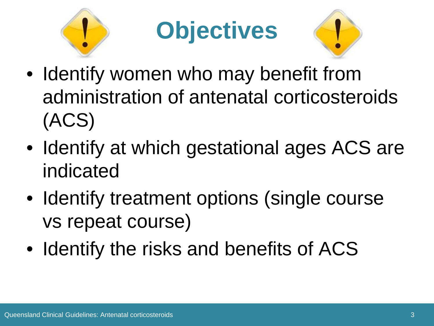





- Identify women who may benefit from administration of antenatal corticosteroids (ACS)
- Identify at which gestational ages ACS are indicated
- Identify treatment options (single course vs repeat course)
- Identify the risks and benefits of ACS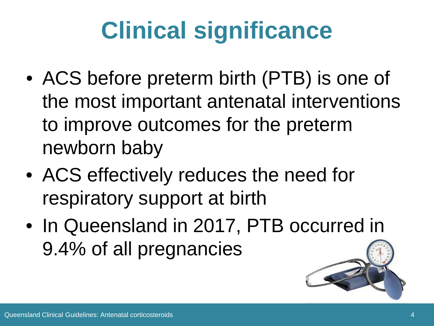# **Clinical significance**

- ACS before preterm birth (PTB) is one of the most important antenatal interventions to improve outcomes for the preterm newborn baby
- ACS effectively reduces the need for respiratory support at birth
- In Queensland in 2017, PTB occurred in 9.4% of all pregnancies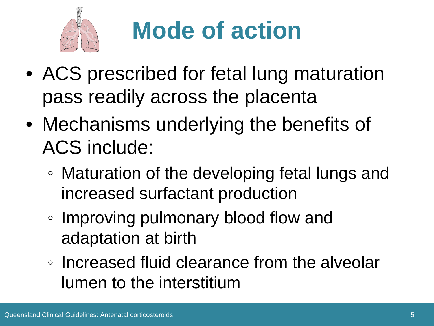

## **Mode of action**

- ACS prescribed for fetal lung maturation pass readily across the placenta
- Mechanisms underlying the benefits of ACS include:
	- Maturation of the developing fetal lungs and increased surfactant production
	- Improving pulmonary blood flow and adaptation at birth
	- Increased fluid clearance from the alveolar lumen to the interstitium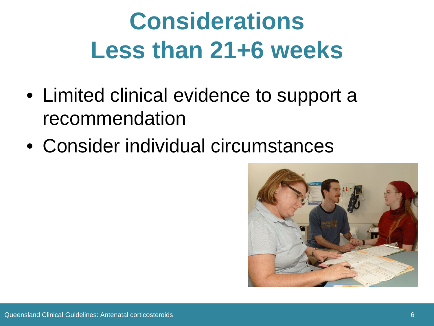### **Considerations Less than 21+6 weeks**

- Limited clinical evidence to support a recommendation
- Consider individual circumstances

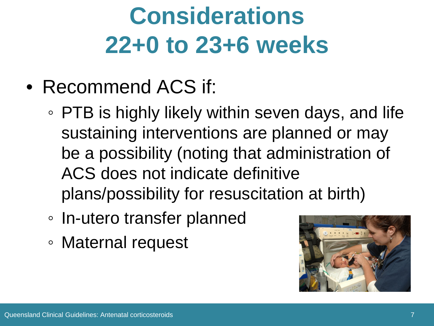### **Considerations 22+0 to 23+6 weeks**

- Recommend ACS if:
	- PTB is highly likely within seven days, and life sustaining interventions are planned or may be a possibility (noting that administration of ACS does not indicate definitive plans/possibility for resuscitation at birth)
	- In-utero transfer planned
	- Maternal request

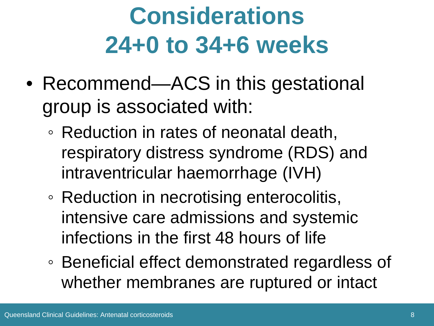### **Considerations 24+0 to 34+6 weeks**

- Recommend—ACS in this gestational group is associated with:
	- Reduction in rates of neonatal death, respiratory distress syndrome (RDS) and intraventricular haemorrhage (IVH)
	- Reduction in necrotising enterocolitis, intensive care admissions and systemic infections in the first 48 hours of life
	- Beneficial effect demonstrated regardless of whether membranes are ruptured or intact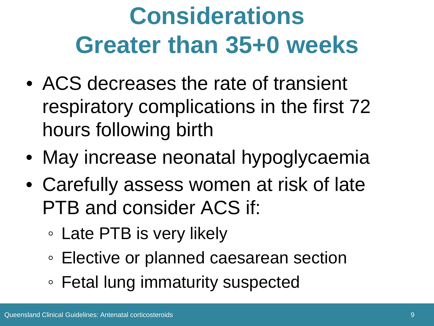### **Considerations Greater than 35+0 weeks**

- ACS decreases the rate of transient respiratory complications in the first 72 hours following birth
- May increase neonatal hypoglycaemia
- Carefully assess women at risk of late PTB and consider ACS if:
	- Late PTB is very likely
	- Elective or planned caesarean section
	- Fetal lung immaturity suspected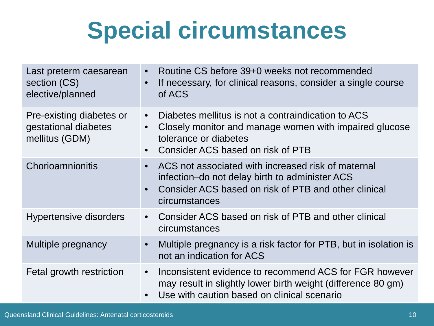#### **Special circumstances**

| Last preterm caesarean<br>section (CS)<br>elective/planned         | Routine CS before 39+0 weeks not recommended<br>$\bullet$<br>If necessary, for clinical reasons, consider a single course<br>$\bullet$<br>of ACS                                                                  |
|--------------------------------------------------------------------|-------------------------------------------------------------------------------------------------------------------------------------------------------------------------------------------------------------------|
| Pre-existing diabetes or<br>gestational diabetes<br>mellitus (GDM) | Diabetes mellitus is not a contraindication to ACS<br>$\bullet$<br>Closely monitor and manage women with impaired glucose<br>$\bullet$<br>tolerance or diabetes<br>Consider ACS based on risk of PTB<br>$\bullet$ |
| Chorioamnionitis                                                   | ACS not associated with increased risk of maternal<br>$\bullet$<br>infection–do not delay birth to administer ACS<br>Consider ACS based on risk of PTB and other clinical<br>$\bullet$<br>circumstances           |
| <b>Hypertensive disorders</b>                                      | Consider ACS based on risk of PTB and other clinical<br>$\bullet$<br>circumstances                                                                                                                                |
| Multiple pregnancy                                                 | Multiple pregnancy is a risk factor for PTB, but in isolation is<br>$\bullet$<br>not an indication for ACS                                                                                                        |
| Fetal growth restriction                                           | Inconsistent evidence to recommend ACS for FGR however<br>$\bullet$<br>may result in slightly lower birth weight (difference 80 gm)<br>Use with caution based on clinical scenario<br>$\bullet$                   |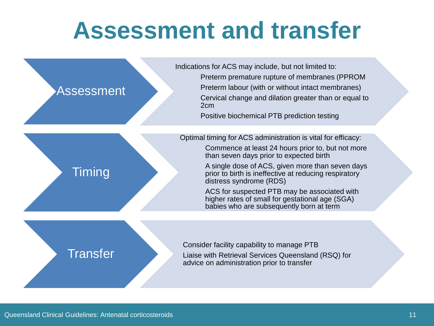#### **Assessment and transfer**

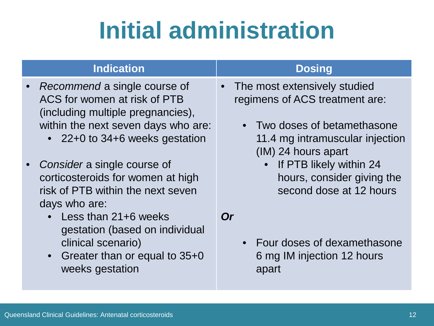### **Initial administration**

#### **Indication Dosing**

- *Recommend* a single course of ACS for women at risk of PTB (including multiple pregnancies), within the next seven days who are:
	- 22+0 to 34+6 weeks gestation
- *Consider* a single course of corticosteroids for women at high risk of PTB within the next seven days who are:
	- Less than 21+6 weeks gestation (based on individual clinical scenario)
	- Greater than or equal to 35+0 weeks gestation

- The most extensively studied regimens of ACS treatment are:
	- Two doses of betamethasone 11.4 mg intramuscular injection (IM) 24 hours apart
		- If PTB likely within 24 hours, consider giving the second dose at 12 hours

*Or*

• Four doses of dexamethasone 6 mg IM injection 12 hours apart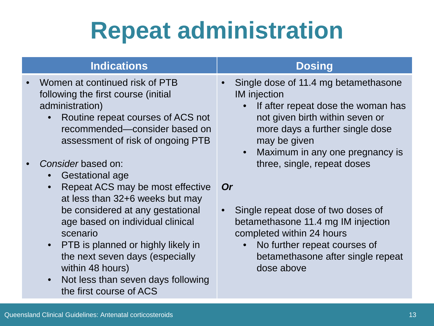#### **Repeat administration**

| <b>Indications</b>                                                                                                                                                                                                                                                                                                                                           | <b>Dosing</b>                                                                                                                                                                                                                                                                       |
|--------------------------------------------------------------------------------------------------------------------------------------------------------------------------------------------------------------------------------------------------------------------------------------------------------------------------------------------------------------|-------------------------------------------------------------------------------------------------------------------------------------------------------------------------------------------------------------------------------------------------------------------------------------|
| Women at continued risk of PTB<br>following the first course (initial)<br>administration)<br>Routine repeat courses of ACS not<br>$\bullet$<br>recommended-consider based on<br>assessment of risk of ongoing PTB<br>Consider based on:<br><b>Gestational age</b><br>$\bullet$                                                                               | Single dose of 11.4 mg betamethasone<br>$\bullet$<br><b>IM</b> injection<br>If after repeat dose the woman has<br>not given birth within seven or<br>more days a further single dose<br>may be given<br>Maximum in any one pregnancy is<br>$\bullet$<br>three, single, repeat doses |
| Repeat ACS may be most effective<br>$\bullet$<br>at less than 32+6 weeks but may<br>be considered at any gestational<br>age based on individual clinical<br>scenario<br>PTB is planned or highly likely in<br>$\bullet$<br>the next seven days (especially<br>within 48 hours)<br>Not less than seven days following<br>$\bullet$<br>the first course of ACS | <b>Or</b><br>Single repeat dose of two doses of<br>$\bullet$<br>betamethasone 11.4 mg IM injection<br>completed within 24 hours<br>No further repeat courses of<br>betamethasone after single repeat<br>dose above                                                                  |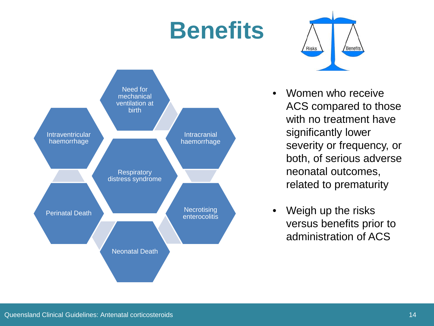#### **Benefits**





- Women who receive ACS compared to those with no treatment have significantly lower severity or frequency, or both, of serious adverse neonatal outcomes, related to prematurity
- Weigh up the risks versus benefits prior to administration of ACS